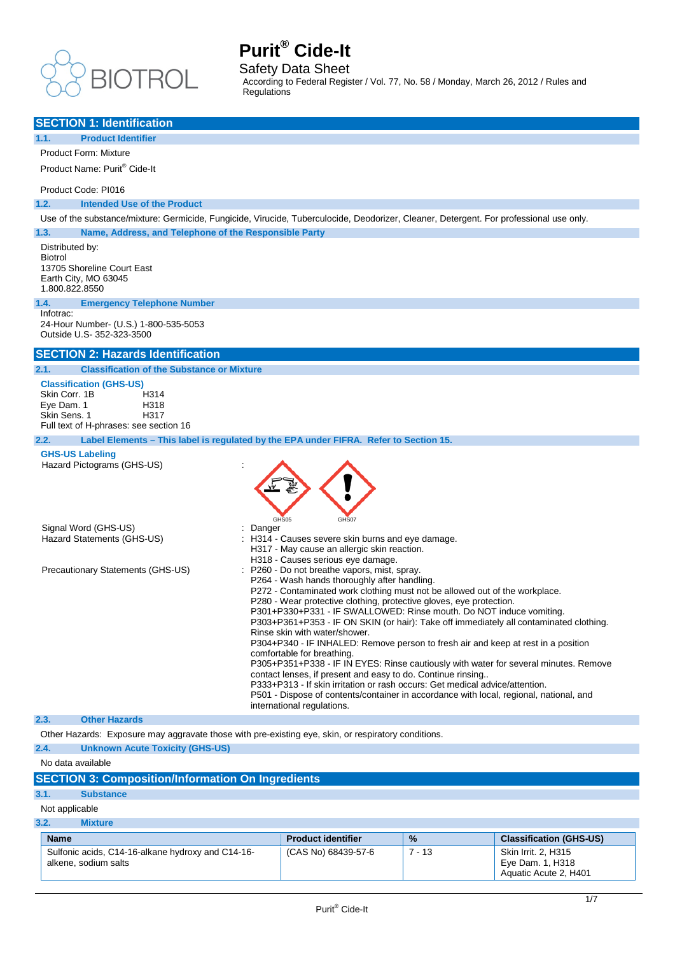

alkene, sodium salts

# **Purit® Cide-It**

Safety Data Sheet

According to Federal Register / Vol. 77, No. 58 / Monday, March 26, 2012 / Rules and Regulations

| <b>SECTION 1: Identification</b>                                                                                                                                                                                                                                                                                                                                                                                                                                                                                                                                                                                                                                                                                                                                                                                                                                                                                                                                                                                                                              |                                                            |          |                                |
|---------------------------------------------------------------------------------------------------------------------------------------------------------------------------------------------------------------------------------------------------------------------------------------------------------------------------------------------------------------------------------------------------------------------------------------------------------------------------------------------------------------------------------------------------------------------------------------------------------------------------------------------------------------------------------------------------------------------------------------------------------------------------------------------------------------------------------------------------------------------------------------------------------------------------------------------------------------------------------------------------------------------------------------------------------------|------------------------------------------------------------|----------|--------------------------------|
| 1.1.<br><b>Product Identifier</b>                                                                                                                                                                                                                                                                                                                                                                                                                                                                                                                                                                                                                                                                                                                                                                                                                                                                                                                                                                                                                             |                                                            |          |                                |
| <b>Product Form: Mixture</b>                                                                                                                                                                                                                                                                                                                                                                                                                                                                                                                                                                                                                                                                                                                                                                                                                                                                                                                                                                                                                                  |                                                            |          |                                |
| Product Name: Purit® Cide-It                                                                                                                                                                                                                                                                                                                                                                                                                                                                                                                                                                                                                                                                                                                                                                                                                                                                                                                                                                                                                                  |                                                            |          |                                |
| Product Code: PI016                                                                                                                                                                                                                                                                                                                                                                                                                                                                                                                                                                                                                                                                                                                                                                                                                                                                                                                                                                                                                                           |                                                            |          |                                |
| 1.2.<br><b>Intended Use of the Product</b>                                                                                                                                                                                                                                                                                                                                                                                                                                                                                                                                                                                                                                                                                                                                                                                                                                                                                                                                                                                                                    |                                                            |          |                                |
| Use of the substance/mixture: Germicide, Fungicide, Virucide, Tuberculocide, Deodorizer, Cleaner, Detergent. For professional use only.                                                                                                                                                                                                                                                                                                                                                                                                                                                                                                                                                                                                                                                                                                                                                                                                                                                                                                                       |                                                            |          |                                |
| 1.3.<br>Name, Address, and Telephone of the Responsible Party                                                                                                                                                                                                                                                                                                                                                                                                                                                                                                                                                                                                                                                                                                                                                                                                                                                                                                                                                                                                 |                                                            |          |                                |
| Distributed by:<br><b>Biotrol</b><br>13705 Shoreline Court East<br>Earth City, MO 63045<br>1.800.822.8550<br>1.4.<br><b>Emergency Telephone Number</b>                                                                                                                                                                                                                                                                                                                                                                                                                                                                                                                                                                                                                                                                                                                                                                                                                                                                                                        |                                                            |          |                                |
| Infotrac:<br>24-Hour Number- (U.S.) 1-800-535-5053<br>Outside U.S- 352-323-3500                                                                                                                                                                                                                                                                                                                                                                                                                                                                                                                                                                                                                                                                                                                                                                                                                                                                                                                                                                               |                                                            |          |                                |
| <b>SECTION 2: Hazards Identification</b>                                                                                                                                                                                                                                                                                                                                                                                                                                                                                                                                                                                                                                                                                                                                                                                                                                                                                                                                                                                                                      |                                                            |          |                                |
| 2.1.<br><b>Classification of the Substance or Mixture</b>                                                                                                                                                                                                                                                                                                                                                                                                                                                                                                                                                                                                                                                                                                                                                                                                                                                                                                                                                                                                     |                                                            |          |                                |
| <b>Classification (GHS-US)</b><br>Skin Corr. 1B<br>H314<br>Eye Dam. 1<br>H318<br>Skin Sens, 1<br>H317<br>Full text of H-phrases: see section 16                                                                                                                                                                                                                                                                                                                                                                                                                                                                                                                                                                                                                                                                                                                                                                                                                                                                                                               |                                                            |          |                                |
| Label Elements - This label is regulated by the EPA under FIFRA. Refer to Section 15.<br>2.2.<br><b>GHS-US Labeling</b>                                                                                                                                                                                                                                                                                                                                                                                                                                                                                                                                                                                                                                                                                                                                                                                                                                                                                                                                       |                                                            |          |                                |
| Hazard Pictograms (GHS-US)<br>GHS05<br>Signal Word (GHS-US)<br>Danger<br>Hazard Statements (GHS-US)                                                                                                                                                                                                                                                                                                                                                                                                                                                                                                                                                                                                                                                                                                                                                                                                                                                                                                                                                           | GHS07<br>: H314 - Causes severe skin burns and eye damage. |          |                                |
| H317 - May cause an allergic skin reaction.<br>H318 - Causes serious eye damage.<br>P260 - Do not breathe vapors, mist, spray.<br>Precautionary Statements (GHS-US)<br>P264 - Wash hands thoroughly after handling.<br>P272 - Contaminated work clothing must not be allowed out of the workplace.<br>P280 - Wear protective clothing, protective gloves, eye protection.<br>P301+P330+P331 - IF SWALLOWED: Rinse mouth. Do NOT induce vomiting.<br>P303+P361+P353 - IF ON SKIN (or hair): Take off immediately all contaminated clothing.<br>Rinse skin with water/shower.<br>P304+P340 - IF INHALED: Remove person to fresh air and keep at rest in a position<br>comfortable for breathing.<br>P305+P351+P338 - IF IN EYES: Rinse cautiously with water for several minutes. Remove<br>contact lenses, if present and easy to do. Continue rinsing<br>P333+P313 - If skin irritation or rash occurs: Get medical advice/attention.<br>P501 - Dispose of contents/container in accordance with local, regional, national, and<br>international regulations. |                                                            |          |                                |
| <b>Other Hazards</b><br>2.3.                                                                                                                                                                                                                                                                                                                                                                                                                                                                                                                                                                                                                                                                                                                                                                                                                                                                                                                                                                                                                                  |                                                            |          |                                |
| Other Hazards: Exposure may aggravate those with pre-existing eye, skin, or respiratory conditions.                                                                                                                                                                                                                                                                                                                                                                                                                                                                                                                                                                                                                                                                                                                                                                                                                                                                                                                                                           |                                                            |          |                                |
| 2.4.<br><b>Unknown Acute Toxicity (GHS-US)</b>                                                                                                                                                                                                                                                                                                                                                                                                                                                                                                                                                                                                                                                                                                                                                                                                                                                                                                                                                                                                                |                                                            |          |                                |
| No data available                                                                                                                                                                                                                                                                                                                                                                                                                                                                                                                                                                                                                                                                                                                                                                                                                                                                                                                                                                                                                                             |                                                            |          |                                |
| <b>SECTION 3: Composition/Information On Ingredients</b>                                                                                                                                                                                                                                                                                                                                                                                                                                                                                                                                                                                                                                                                                                                                                                                                                                                                                                                                                                                                      |                                                            |          |                                |
| 3.1.<br><b>Substance</b>                                                                                                                                                                                                                                                                                                                                                                                                                                                                                                                                                                                                                                                                                                                                                                                                                                                                                                                                                                                                                                      |                                                            |          |                                |
| Not applicable                                                                                                                                                                                                                                                                                                                                                                                                                                                                                                                                                                                                                                                                                                                                                                                                                                                                                                                                                                                                                                                |                                                            |          |                                |
| 3.2.<br><b>Mixture</b>                                                                                                                                                                                                                                                                                                                                                                                                                                                                                                                                                                                                                                                                                                                                                                                                                                                                                                                                                                                                                                        |                                                            |          |                                |
| <b>Name</b>                                                                                                                                                                                                                                                                                                                                                                                                                                                                                                                                                                                                                                                                                                                                                                                                                                                                                                                                                                                                                                                   | <b>Product identifier</b>                                  | $\%$     | <b>Classification (GHS-US)</b> |
| Sulfonic acids, C14-16-alkane hydroxy and C14-16-                                                                                                                                                                                                                                                                                                                                                                                                                                                                                                                                                                                                                                                                                                                                                                                                                                                                                                                                                                                                             | (CAS No) 68439-57-6                                        | $7 - 13$ | Skin Irrit. 2, H315            |

Eye Dam. 1, H318 Aquatic Acute 2, H401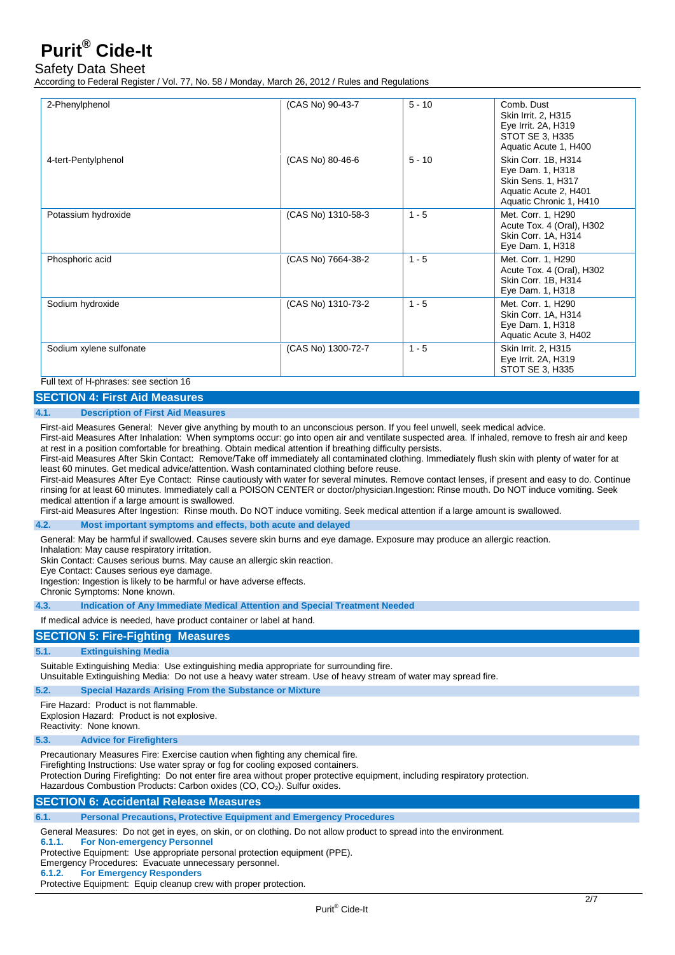## Safety Data Sheet

According to Federal Register / Vol. 77, No. 58 / Monday, March 26, 2012 / Rules and Regulations

| 2-Phenylphenol                                                                | (CAS No) 90-43-7   | $5 - 10$ | Comb. Dust<br>Skin Irrit. 2, H315<br>Eye Irrit. 2A, H319<br>STOT SE 3, H335<br>Aquatic Acute 1, H400              |
|-------------------------------------------------------------------------------|--------------------|----------|-------------------------------------------------------------------------------------------------------------------|
| 4-tert-Pentylphenol                                                           | (CAS No) 80-46-6   | $5 - 10$ | Skin Corr. 1B, H314<br>Eye Dam. 1, H318<br>Skin Sens. 1, H317<br>Aquatic Acute 2, H401<br>Aquatic Chronic 1, H410 |
| Potassium hydroxide                                                           | (CAS No) 1310-58-3 | $1 - 5$  | Met. Corr. 1, H290<br>Acute Tox. 4 (Oral), H302<br>Skin Corr. 1A, H314<br>Eye Dam. 1, H318                        |
| Phosphoric acid                                                               | (CAS No) 7664-38-2 | $1 - 5$  | Met. Corr. 1, H290<br>Acute Tox. 4 (Oral), H302<br>Skin Corr. 1B, H314<br>Eye Dam. 1, H318                        |
| Sodium hydroxide                                                              | (CAS No) 1310-73-2 | $1 - 5$  | Met. Corr. 1, H290<br>Skin Corr. 1A, H314<br>Eye Dam. 1, H318<br>Aquatic Acute 3, H402                            |
| Sodium xylene sulfonate<br>$\Gamma$ . Il tant af Habsanan ann ann an than 40. | (CAS No) 1300-72-7 | $1 - 5$  | Skin Irrit. 2, H315<br>Eye Irrit. 2A, H319<br>STOT SE 3, H335                                                     |

## Full text of H-phrases: see section 16

## **SECTION 4: First Aid Measures**

### **4.1. Description of First Aid Measures**

First-aid Measures General: Never give anything by mouth to an unconscious person. If you feel unwell, seek medical advice.

First-aid Measures After Inhalation: When symptoms occur: go into open air and ventilate suspected area. If inhaled, remove to fresh air and keep at rest in a position comfortable for breathing. Obtain medical attention if breathing difficulty persists.

First-aid Measures After Skin Contact: Remove/Take off immediately all contaminated clothing. Immediately flush skin with plenty of water for at least 60 minutes. Get medical advice/attention. Wash contaminated clothing before reuse.

First-aid Measures After Eye Contact: Rinse cautiously with water for several minutes. Remove contact lenses, if present and easy to do. Continue rinsing for at least 60 minutes. Immediately call a POISON CENTER or doctor/physician.Ingestion: Rinse mouth. Do NOT induce vomiting. Seek medical attention if a large amount is swallowed.

First-aid Measures After Ingestion: Rinse mouth. Do NOT induce vomiting. Seek medical attention if a large amount is swallowed.

#### **4.2. Most important symptoms and effects, both acute and delayed**

General: May be harmful if swallowed. Causes severe skin burns and eye damage. Exposure may produce an allergic reaction.

Inhalation: May cause respiratory irritation.

Skin Contact: Causes serious burns. May cause an allergic skin reaction.

Eye Contact: Causes serious eye damage.

Ingestion: Ingestion is likely to be harmful or have adverse effects.

Chronic Symptoms: None known.

**4.3. Indication of Any Immediate Medical Attention and Special Treatment Needed** 

### If medical advice is needed, have product container or label at hand.

### **SECTION 5: Fire-Fighting Measures**

### **5.1. Extinguishing Media**

Suitable Extinguishing Media: Use extinguishing media appropriate for surrounding fire.

Unsuitable Extinguishing Media: Do not use a heavy water stream. Use of heavy stream of water may spread fire.

### **5.2. Special Hazards Arising From the Substance or Mixture**

Fire Hazard: Product is not flammable.

Explosion Hazard: Product is not explosive.

Reactivity: None known.

### **5.3. Advice for Firefighters**

Precautionary Measures Fire: Exercise caution when fighting any chemical fire.

Firefighting Instructions: Use water spray or fog for cooling exposed containers.

Protection During Firefighting: Do not enter fire area without proper protective equipment, including respiratory protection.

Hazardous Combustion Products: Carbon oxides (CO, CO<sub>2</sub>). Sulfur oxides.

## **SECTION 6: Accidental Release Measures**

**6.1. Personal Precautions, Protective Equipment and Emergency Procedures**

General Measures: Do not get in eyes, on skin, or on clothing. Do not allow product to spread into the environment.

**6.1.1. For Non-emergency Personnel**

Protective Equipment: Use appropriate personal protection equipment (PPE).

Emergency Procedures: Evacuate unnecessary personnel.<br>6.1.2. For Emergency Responders

**6.1.2. For Emergency Responders**

Protective Equipment: Equip cleanup crew with proper protection.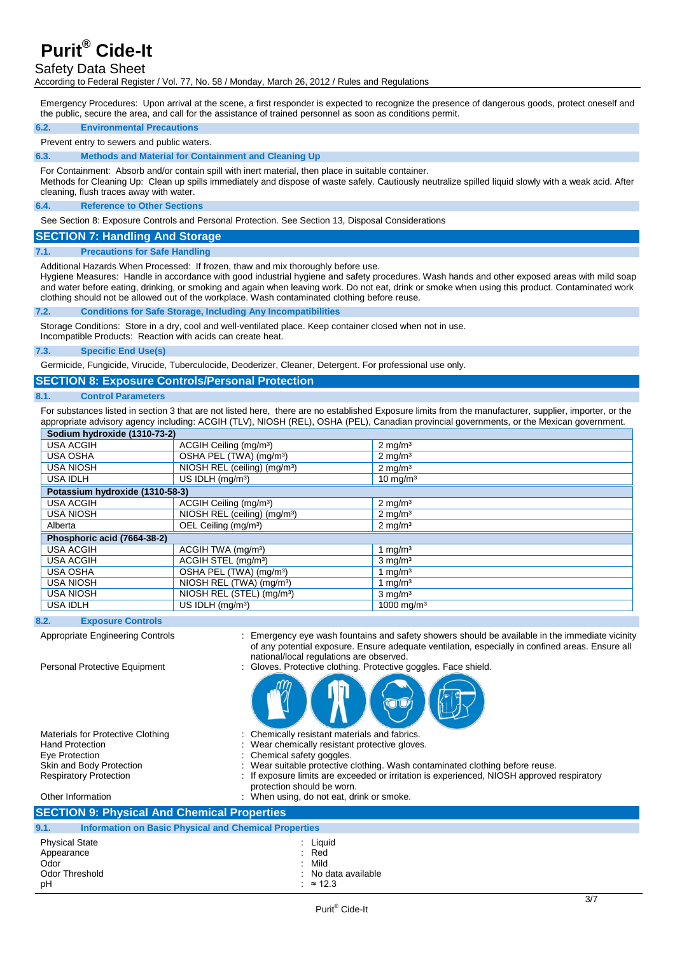## Safety Data Sheet

According to Federal Register / Vol. 77, No. 58 / Monday, March 26, 2012 / Rules and Regulations

Emergency Procedures: Upon arrival at the scene, a first responder is expected to recognize the presence of dangerous goods, protect oneself and the public, secure the area, and call for the assistance of trained personnel as soon as conditions permit.

#### **6.2. Environmental Precautions**

#### Prevent entry to sewers and public waters.

**6.3. Methods and Material for Containment and Cleaning Up** 

For Containment: Absorb and/or contain spill with inert material, then place in suitable container.

Methods for Cleaning Up: Clean up spills immediately and dispose of waste safely. Cautiously neutralize spilled liquid slowly with a weak acid. After cleaning, flush traces away with water.

#### **6.4. Reference to Other Sections**

See Section 8: Exposure Controls and Personal Protection. See Section 13, Disposal Considerations

### **SECTION 7: Handling And Storage**

### **7.1. Precautions for Safe Handling**

Additional Hazards When Processed: If frozen, thaw and mix thoroughly before use.

Hygiene Measures: Handle in accordance with good industrial hygiene and safety procedures. Wash hands and other exposed areas with mild soap and water before eating, drinking, or smoking and again when leaving work. Do not eat, drink or smoke when using this product. Contaminated work clothing should not be allowed out of the workplace. Wash contaminated clothing before reuse.

### **7.2. Conditions for Safe Storage, Including Any Incompatibilities**

Storage Conditions: Store in a dry, cool and well-ventilated place. Keep container closed when not in use.

Incompatible Products: Reaction with acids can create heat.

### **7.3. Specific End Use(s)**

Germicide, Fungicide, Virucide, Tuberculocide, Deoderizer, Cleaner, Detergent. For professional use only.

## **SECTION 8: Exposure Controls/Personal Protection**

#### **8.1. Control Parameters**

For substances listed in section 3 that are not listed here, there are no established Exposure limits from the manufacturer, supplier, importer, or the appropriate advisory agency including: ACGIH (TLV), NIOSH (REL), OSHA (PEL), Canadian provincial governments, or the Mexican government.

| Sodium hydroxide (1310-73-2)                                      |                                          |                        |  |
|-------------------------------------------------------------------|------------------------------------------|------------------------|--|
| <b>USA ACGIH</b>                                                  | ACGIH Ceiling (mg/m <sup>3</sup> )       | $2 \text{ mg/m}^3$     |  |
| <b>USA OSHA</b>                                                   | OSHA PEL (TWA) (mg/m <sup>3</sup> )      | $2 \text{ mg/m}^3$     |  |
| <b>USA NIOSH</b>                                                  | NIOSH REL (ceiling) (mg/m <sup>3</sup> ) | $2 \text{ mg/m}^3$     |  |
| <b>USA IDLH</b>                                                   | US IDLH $(mq/m3)$<br>$10 \text{ mg/m}^3$ |                        |  |
| Potassium hydroxide (1310-58-3)                                   |                                          |                        |  |
| <b>USA ACGIH</b>                                                  | ACGIH Ceiling (mg/m <sup>3</sup> )       | $2 \text{ mg/m}^3$     |  |
| <b>USA NIOSH</b>                                                  | NIOSH REL (ceiling) (mg/m <sup>3</sup> ) | $2 \text{ mg/m}^3$     |  |
| OEL Ceiling (mg/m <sup>3</sup> )<br>$2 \text{ mg/m}^3$<br>Alberta |                                          |                        |  |
| Phosphoric acid (7664-38-2)                                       |                                          |                        |  |
| <b>USA ACGIH</b>                                                  | ACGIH TWA (mg/m <sup>3</sup> )           | 1 $mq/m3$              |  |
| USA ACGIH                                                         | ACGIH STEL (mg/m <sup>3</sup> )          | $3 \text{ mg/m}^3$     |  |
| <b>USA OSHA</b>                                                   | OSHA PEL (TWA) (mg/m <sup>3</sup> )      | 1 $mq/m3$              |  |
| <b>USA NIOSH</b>                                                  | NIOSH REL (TWA) (mg/m <sup>3</sup> )     | 1 $mq/m3$              |  |
| <b>USA NIOSH</b>                                                  | NIOSH REL (STEL) (mg/m <sup>3</sup> )    | $3 \text{ mg/m}^3$     |  |
| <b>USA IDLH</b>                                                   | US IDLH (mg/m <sup>3</sup> )             | 1000 mg/m <sup>3</sup> |  |

### **8.2. Exposure Controls**

Appropriate Engineering Controls : Emergency eye wash fountains and safety showers should be available in the immediate vicinity of any potential exposure. Ensure adequate ventilation, especially in confined areas. Ensure all national/local regulations are observed.

Personal Protective Equipment : Gloves. Protective clothing. Protective goggles. Face shield.



Materials for Protective Clothing : Chemically resistant materials and fabrics.<br>Hand Protection : Wear chemically resistant protective glove Hand Protection **Figure 1.1 Contract Contract Contract Contract Contract Contract Contract Contract Contract Contract Contract Contract Contract Contract Contract Contract Contract Contract Contract Contract Contract Contr** Eye Protection **in Exercise 2.1** Chemical safety goggles.<br>
Skin and Body Protection **in Exercise** : Wear suitable protective

- 
- 
- 
- Skin and Body Protection : Wear suitable protective clothing. Wash contaminated clothing before reuse.<br>Respiratory Protection : If exposure limits are exceeded or irritation is experienced, NIOSH approved
	- If exposure limits are exceeded or irritation is experienced, NIOSH approved respiratory protection should be worn.

Other Information **intervalse and the Contract Contract Contract Contract Contract Contract Contract Contract Contract Contract Contract Contract Contract Contract Contract Contract Contract Contract Contract Contract Cont SECTION 9: Physical And Chemical Properties 9.1. Information on Basic Physical and Chemical Properties** Physical State in the set of the set of the set of the set of the set of the set of the set of the set of the s<br>
Physical State in the set of the set of the set of the set of the set of the set of the set of the set of the Appearance : Red . Contact Section 2014 12: Red . Contact Section 2014 12: Red . Red . Red . Red . Red . Red . Red . Red . Red . Red . Red . Red . Red . Red . Red . Red . Red . Red . Red . Red . Red . Red . Red . Red . Red Odor : Mild

Odor Threshold : No data available

pH  $\cdot$  ≈ 12.3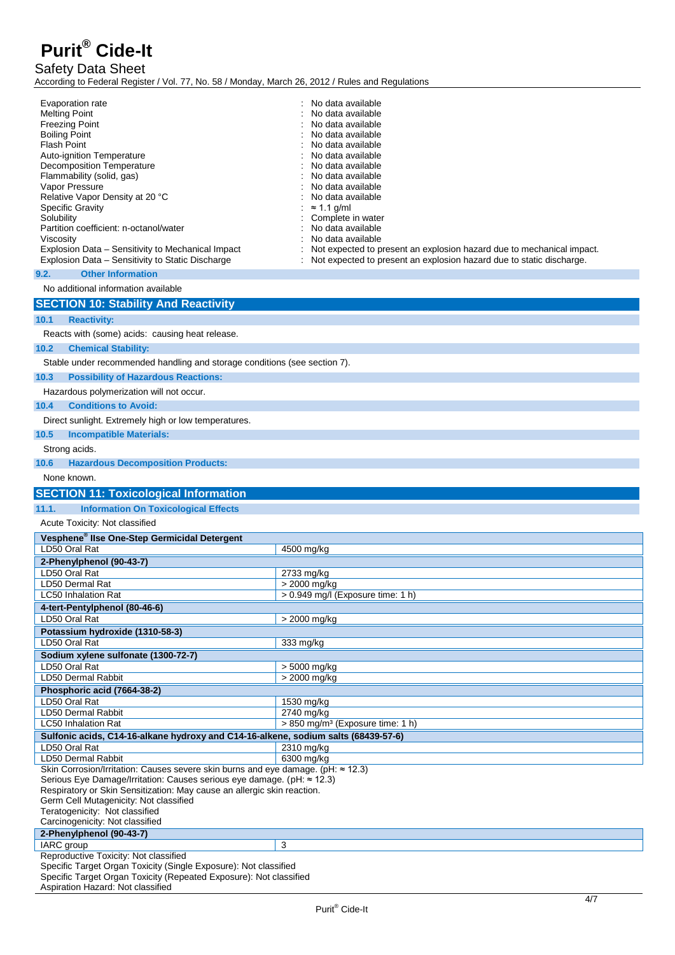## Safety Data Sheet

According to Federal Register / Vol. 77, No. 58 / Monday, March 26, 2012 / Rules and Regulations

| <b>Melting Point</b><br><b>Freezing Point</b><br><b>Boiling Point</b><br><b>Flash Point</b><br>Auto-ignition Temperature<br><b>Decomposition Temperature</b><br>Flammability (solid, gas)<br>Vapor Pressure<br>Relative Vapor Density at 20 °C<br>Specific Gravity<br>Solubility<br>Partition coefficient: n-octanol/water<br>Viscosity<br>Explosion Data - Sensitivity to Mechanical Impact<br>Explosion Data - Sensitivity to Static Discharge | No data available<br>No data available<br>No data available<br>No data available<br>No data available<br>No data available<br>No data available<br>No data available<br>No data available<br>No data available<br>$\approx$ 1.1 g/ml<br>Complete in water<br>No data available<br>No data available<br>Not expected to present an explosion hazard due to mechanical impact.<br>Not expected to present an explosion hazard due to static discharge. |
|--------------------------------------------------------------------------------------------------------------------------------------------------------------------------------------------------------------------------------------------------------------------------------------------------------------------------------------------------------------------------------------------------------------------------------------------------|------------------------------------------------------------------------------------------------------------------------------------------------------------------------------------------------------------------------------------------------------------------------------------------------------------------------------------------------------------------------------------------------------------------------------------------------------|
| <b>Other Information</b><br>9.2.                                                                                                                                                                                                                                                                                                                                                                                                                 |                                                                                                                                                                                                                                                                                                                                                                                                                                                      |
| No additional information available                                                                                                                                                                                                                                                                                                                                                                                                              |                                                                                                                                                                                                                                                                                                                                                                                                                                                      |
| <b>SECTION 10: Stability And Reactivity</b>                                                                                                                                                                                                                                                                                                                                                                                                      |                                                                                                                                                                                                                                                                                                                                                                                                                                                      |
| 10.1<br><b>Reactivity:</b>                                                                                                                                                                                                                                                                                                                                                                                                                       |                                                                                                                                                                                                                                                                                                                                                                                                                                                      |
| Reacts with (some) acids: causing heat release.                                                                                                                                                                                                                                                                                                                                                                                                  |                                                                                                                                                                                                                                                                                                                                                                                                                                                      |
| 10.2<br><b>Chemical Stability:</b>                                                                                                                                                                                                                                                                                                                                                                                                               |                                                                                                                                                                                                                                                                                                                                                                                                                                                      |
| Stable under recommended handling and storage conditions (see section 7).                                                                                                                                                                                                                                                                                                                                                                        |                                                                                                                                                                                                                                                                                                                                                                                                                                                      |
| 10.3<br><b>Possibility of Hazardous Reactions:</b>                                                                                                                                                                                                                                                                                                                                                                                               |                                                                                                                                                                                                                                                                                                                                                                                                                                                      |
| Hazardous polymerization will not occur.                                                                                                                                                                                                                                                                                                                                                                                                         |                                                                                                                                                                                                                                                                                                                                                                                                                                                      |
| 10.4<br><b>Conditions to Avoid:</b>                                                                                                                                                                                                                                                                                                                                                                                                              |                                                                                                                                                                                                                                                                                                                                                                                                                                                      |
| Direct sunlight. Extremely high or low temperatures.                                                                                                                                                                                                                                                                                                                                                                                             |                                                                                                                                                                                                                                                                                                                                                                                                                                                      |
| 10.5<br><b>Incompatible Materials:</b>                                                                                                                                                                                                                                                                                                                                                                                                           |                                                                                                                                                                                                                                                                                                                                                                                                                                                      |
| Strong acids.                                                                                                                                                                                                                                                                                                                                                                                                                                    |                                                                                                                                                                                                                                                                                                                                                                                                                                                      |
| 10.6<br><b>Hazardous Decomposition Products:</b>                                                                                                                                                                                                                                                                                                                                                                                                 |                                                                                                                                                                                                                                                                                                                                                                                                                                                      |
| None known.                                                                                                                                                                                                                                                                                                                                                                                                                                      |                                                                                                                                                                                                                                                                                                                                                                                                                                                      |
| <b>SECTION 11: Toxicological Information</b>                                                                                                                                                                                                                                                                                                                                                                                                     |                                                                                                                                                                                                                                                                                                                                                                                                                                                      |
| 11.1.<br><b>Information On Toxicological Effects</b>                                                                                                                                                                                                                                                                                                                                                                                             |                                                                                                                                                                                                                                                                                                                                                                                                                                                      |
| Acute Toxicity: Not classified                                                                                                                                                                                                                                                                                                                                                                                                                   |                                                                                                                                                                                                                                                                                                                                                                                                                                                      |
|                                                                                                                                                                                                                                                                                                                                                                                                                                                  |                                                                                                                                                                                                                                                                                                                                                                                                                                                      |
| Vesphene <sup>®</sup> Ilse One-Step Germicidal Detergent<br>LD50 Oral Rat                                                                                                                                                                                                                                                                                                                                                                        | 4500 mg/kg                                                                                                                                                                                                                                                                                                                                                                                                                                           |
| 2-Phenylphenol (90-43-7)                                                                                                                                                                                                                                                                                                                                                                                                                         |                                                                                                                                                                                                                                                                                                                                                                                                                                                      |
| LD50 Oral Rat                                                                                                                                                                                                                                                                                                                                                                                                                                    | 2733 mg/kg                                                                                                                                                                                                                                                                                                                                                                                                                                           |
| LD50 Dermal Rat                                                                                                                                                                                                                                                                                                                                                                                                                                  | > 2000 mg/kg                                                                                                                                                                                                                                                                                                                                                                                                                                         |
| <b>LC50 Inhalation Rat</b>                                                                                                                                                                                                                                                                                                                                                                                                                       | $> 0.949$ mg/l (Exposure time: 1 h)                                                                                                                                                                                                                                                                                                                                                                                                                  |
| 4-tert-Pentylphenol (80-46-6)<br>LD50 Oral Rat                                                                                                                                                                                                                                                                                                                                                                                                   | $> 2000$ mg/kg                                                                                                                                                                                                                                                                                                                                                                                                                                       |
| Potassium hydroxide (1310-58-3)                                                                                                                                                                                                                                                                                                                                                                                                                  |                                                                                                                                                                                                                                                                                                                                                                                                                                                      |
| LD50 Oral Rat                                                                                                                                                                                                                                                                                                                                                                                                                                    | 333 mg/kg                                                                                                                                                                                                                                                                                                                                                                                                                                            |
| Sodium xylene sulfonate (1300-72-7)                                                                                                                                                                                                                                                                                                                                                                                                              |                                                                                                                                                                                                                                                                                                                                                                                                                                                      |
| LD50 Oral Rat<br>LD50 Dermal Rabbit                                                                                                                                                                                                                                                                                                                                                                                                              | > 5000 mg/kg<br>> 2000 mg/kg                                                                                                                                                                                                                                                                                                                                                                                                                         |
| Phosphoric acid (7664-38-2)                                                                                                                                                                                                                                                                                                                                                                                                                      |                                                                                                                                                                                                                                                                                                                                                                                                                                                      |
| LD50 Oral Rat                                                                                                                                                                                                                                                                                                                                                                                                                                    | 1530 mg/kg                                                                                                                                                                                                                                                                                                                                                                                                                                           |
| LD50 Dermal Rabbit                                                                                                                                                                                                                                                                                                                                                                                                                               | 2740 mg/kg                                                                                                                                                                                                                                                                                                                                                                                                                                           |
| <b>LC50 Inhalation Rat</b><br>Sulfonic acids, C14-16-alkane hydroxy and C14-16-alkene, sodium salts (68439-57-6)                                                                                                                                                                                                                                                                                                                                 | > 850 mg/m <sup>3</sup> (Exposure time: 1 h)                                                                                                                                                                                                                                                                                                                                                                                                         |
| LD50 Oral Rat                                                                                                                                                                                                                                                                                                                                                                                                                                    | 2310 mg/kg                                                                                                                                                                                                                                                                                                                                                                                                                                           |
| LD50 Dermal Rabbit                                                                                                                                                                                                                                                                                                                                                                                                                               | 6300 mg/kg                                                                                                                                                                                                                                                                                                                                                                                                                                           |
| Skin Corrosion/Irritation: Causes severe skin burns and eye damage. (pH: ≈ 12.3)<br>Serious Eye Damage/Irritation: Causes serious eye damage. (pH: ≈ 12.3)                                                                                                                                                                                                                                                                                       |                                                                                                                                                                                                                                                                                                                                                                                                                                                      |
| Respiratory or Skin Sensitization: May cause an allergic skin reaction.                                                                                                                                                                                                                                                                                                                                                                          |                                                                                                                                                                                                                                                                                                                                                                                                                                                      |
| Germ Cell Mutagenicity: Not classified                                                                                                                                                                                                                                                                                                                                                                                                           |                                                                                                                                                                                                                                                                                                                                                                                                                                                      |
| Teratogenicity: Not classified<br>Carcinogenicity: Not classified                                                                                                                                                                                                                                                                                                                                                                                |                                                                                                                                                                                                                                                                                                                                                                                                                                                      |
| 2-Phenylphenol (90-43-7)                                                                                                                                                                                                                                                                                                                                                                                                                         |                                                                                                                                                                                                                                                                                                                                                                                                                                                      |
| IARC group<br>Reproductive Toxicity: Not classified                                                                                                                                                                                                                                                                                                                                                                                              | 3                                                                                                                                                                                                                                                                                                                                                                                                                                                    |

Aspiration Hazard: Not classified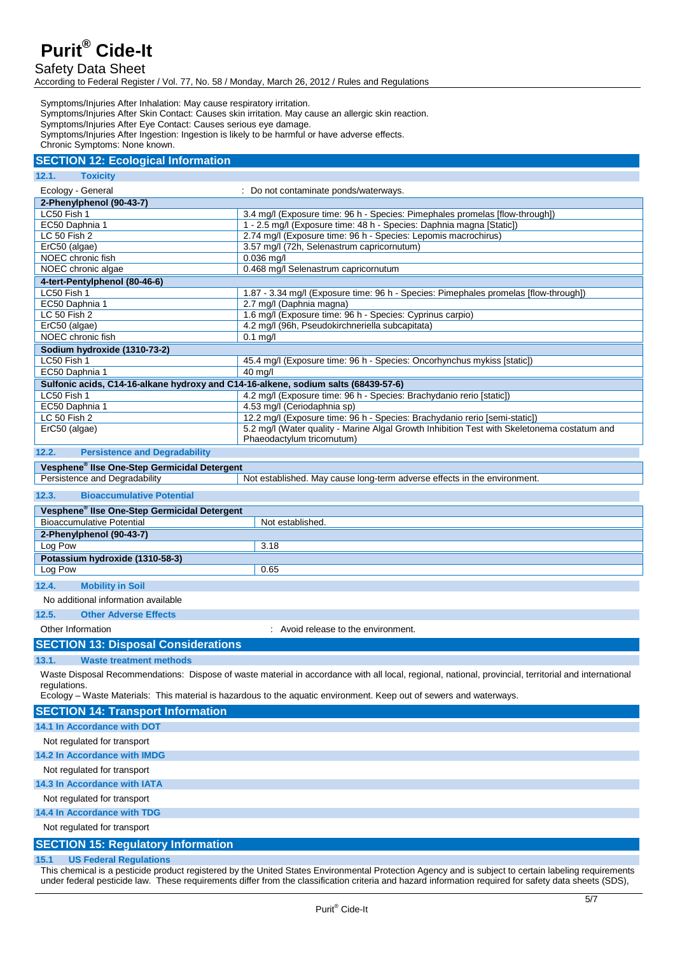## Safety Data Sheet

According to Federal Register / Vol. 77, No. 58 / Monday, March 26, 2012 / Rules and Regulations

Symptoms/Injuries After Inhalation: May cause respiratory irritation. Symptoms/Injuries After Skin Contact: Causes skin irritation. May cause an allergic skin reaction. Symptoms/Injuries After Eye Contact: Causes serious eye damage.

Symptoms/Injuries After Ingestion: Ingestion is likely to be harmful or have adverse effects.

Chronic Symptoms: None known.

## **SECTION 12: Ecological Information**

## **12.1. Toxicity**

| Ecology - General                                                                  | Do not contaminate ponds/waterways.                                                         |  |
|------------------------------------------------------------------------------------|---------------------------------------------------------------------------------------------|--|
| 2-Phenylphenol (90-43-7)                                                           |                                                                                             |  |
| LC50 Fish 1                                                                        | 3.4 mg/l (Exposure time: 96 h - Species: Pimephales promelas [flow-through])                |  |
| EC50 Daphnia 1                                                                     | 1 - 2.5 mg/l (Exposure time: 48 h - Species: Daphnia magna [Static])                        |  |
| LC 50 Fish 2                                                                       | 2.74 mg/l (Exposure time: 96 h - Species: Lepomis macrochirus)                              |  |
| ErC50 (algae)                                                                      | 3.57 mg/l (72h, Selenastrum capricornutum)                                                  |  |
| NOEC chronic fish                                                                  | $0.036$ mg/l                                                                                |  |
| NOEC chronic algae                                                                 | 0.468 mg/l Selenastrum capricornutum                                                        |  |
| 4-tert-Pentylphenol (80-46-6)                                                      |                                                                                             |  |
| LC50 Fish 1                                                                        | 1.87 - 3.34 mg/l (Exposure time: 96 h - Species: Pimephales promelas [flow-through])        |  |
| EC50 Daphnia 1                                                                     | 2.7 mg/l (Daphnia magna)                                                                    |  |
| LC 50 Fish 2                                                                       | 1.6 mg/l (Exposure time: 96 h - Species: Cyprinus carpio)                                   |  |
| ErC50 (algae)                                                                      | 4.2 mg/l (96h, Pseudokirchneriella subcapitata)                                             |  |
| NOEC chronic fish                                                                  | $0.1$ mg/l                                                                                  |  |
| Sodium hydroxide (1310-73-2)                                                       |                                                                                             |  |
| LC50 Fish 1                                                                        | 45.4 mg/l (Exposure time: 96 h - Species: Oncorhynchus mykiss [static])                     |  |
| EC50 Daphnia 1                                                                     | $40$ mg/                                                                                    |  |
| Sulfonic acids, C14-16-alkane hydroxy and C14-16-alkene, sodium salts (68439-57-6) |                                                                                             |  |
| LC50 Fish 1                                                                        | 4.2 mg/l (Exposure time: 96 h - Species: Brachydanio rerio [static])                        |  |
| EC50 Daphnia 1                                                                     | 4.53 mg/l (Ceriodaphnia sp)                                                                 |  |
| LC 50 Fish 2                                                                       | 12.2 mg/l (Exposure time: 96 h - Species: Brachydanio rerio [semi-static])                  |  |
| ErC50 (algae)                                                                      | 5.2 mg/l (Water quality - Marine Algal Growth Inhibition Test with Skeletonema costatum and |  |
|                                                                                    | Phaeodactylum tricornutum)                                                                  |  |

## **12.2. Persistence and Degradability**

## **Vesphene® IIse One-Step Germicidal Detergent**

Not established. May cause long-term adverse effects in the environment.

| 12.3. | <b>Bioaccumulative Potential</b> |  |
|-------|----------------------------------|--|
|-------|----------------------------------|--|

| 14.0.<br><b>DIVACCUTTURE FULCITUAL</b>                   |                  |
|----------------------------------------------------------|------------------|
| Vesphene <sup>®</sup> Ilse One-Step Germicidal Detergent |                  |
| Bioaccumulative Potential                                | Not established. |
| 2-Phenylphenol (90-43-7)                                 |                  |
| Log Pow                                                  | 3.18             |
| Potassium hydroxide (1310-58-3)                          |                  |
| Log Pow                                                  | 0.65             |
| 12.4.<br><b>Mobility in Soil</b>                         |                  |
| No additional information available                      |                  |

## **12.5. Other Adverse Effects**

Other Information : Avoid release to the environment.

## **SECTION 13: Disposal Considerations**

### **13.1. Waste treatment methods**

Waste Disposal Recommendations: Dispose of waste material in accordance with all local, regional, national, provincial, territorial and international regulations.

Ecology – Waste Materials: This material is hazardous to the aquatic environment. Keep out of sewers and waterways.

## **SECTION 14: Transport Information 14.1 In Accordance with DOT**  Not regulated for transport **14.2 In Accordance with IMDG**  Not regulated for transport **14.3 In Accordance with IATA**  Not regulated for transport **14.4 In Accordance with TDG** Not regulated for transport **SECTION 15: Regulatory Information**

#### **15.1 US Federal Regulations**

This chemical is a pesticide product registered by the United States Environmental Protection Agency and is subject to certain labeling requirements under federal pesticide law. These requirements differ from the classification criteria and hazard information required for safety data sheets (SDS),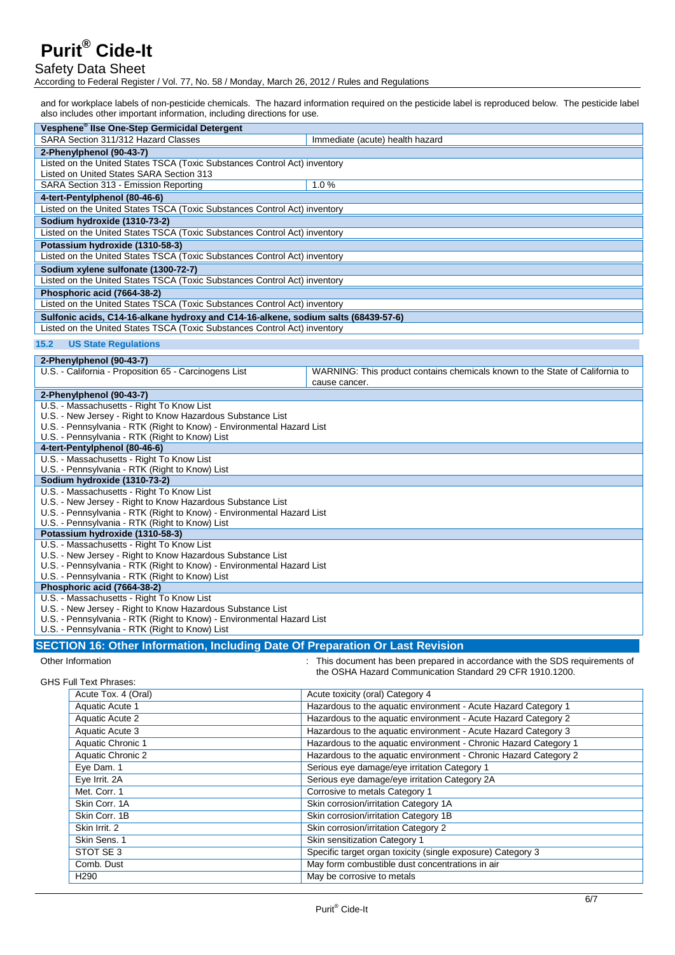## Safety Data Sheet

According to Federal Register / Vol. 77, No. 58 / Monday, March 26, 2012 / Rules and Regulations

and for workplace labels of non-pesticide chemicals. The hazard information required on the pesticide label is reproduced below. The pesticide label also includes other important information, including directions for use.

| Vesphene <sup>®</sup> Ilse One-Step Germicidal Detergent                                                                            |                                                                                               |  |
|-------------------------------------------------------------------------------------------------------------------------------------|-----------------------------------------------------------------------------------------------|--|
| SARA Section 311/312 Hazard Classes                                                                                                 | Immediate (acute) health hazard                                                               |  |
| 2-Phenylphenol (90-43-7)                                                                                                            |                                                                                               |  |
| Listed on the United States TSCA (Toxic Substances Control Act) inventory                                                           |                                                                                               |  |
| Listed on United States SARA Section 313                                                                                            |                                                                                               |  |
| SARA Section 313 - Emission Reporting                                                                                               | 1.0%                                                                                          |  |
| 4-tert-Pentylphenol (80-46-6)                                                                                                       |                                                                                               |  |
| Listed on the United States TSCA (Toxic Substances Control Act) inventory                                                           |                                                                                               |  |
| Sodium hydroxide (1310-73-2)                                                                                                        |                                                                                               |  |
| Listed on the United States TSCA (Toxic Substances Control Act) inventory                                                           |                                                                                               |  |
| Potassium hydroxide (1310-58-3)                                                                                                     |                                                                                               |  |
| Listed on the United States TSCA (Toxic Substances Control Act) inventory                                                           |                                                                                               |  |
| Sodium xylene sulfonate (1300-72-7)                                                                                                 |                                                                                               |  |
| Listed on the United States TSCA (Toxic Substances Control Act) inventory                                                           |                                                                                               |  |
| Phosphoric acid (7664-38-2)                                                                                                         |                                                                                               |  |
| Listed on the United States TSCA (Toxic Substances Control Act) inventory                                                           |                                                                                               |  |
| Sulfonic acids, C14-16-alkane hydroxy and C14-16-alkene, sodium salts (68439-57-6)                                                  |                                                                                               |  |
| Listed on the United States TSCA (Toxic Substances Control Act) inventory                                                           |                                                                                               |  |
| 15.2<br><b>US State Regulations</b>                                                                                                 |                                                                                               |  |
| 2-Phenylphenol (90-43-7)                                                                                                            |                                                                                               |  |
| U.S. - California - Proposition 65 - Carcinogens List                                                                               | WARNING: This product contains chemicals known to the State of California to<br>cause cancer. |  |
| 2-Phenylphenol (90-43-7)                                                                                                            |                                                                                               |  |
| U.S. - Massachusetts - Right To Know List                                                                                           |                                                                                               |  |
| U.S. - New Jersey - Right to Know Hazardous Substance List                                                                          |                                                                                               |  |
| U.S. - Pennsylvania - RTK (Right to Know) - Environmental Hazard List                                                               |                                                                                               |  |
| U.S. - Pennsylvania - RTK (Right to Know) List                                                                                      |                                                                                               |  |
| 4-tert-Pentylphenol (80-46-6)                                                                                                       |                                                                                               |  |
| U.S. - Massachusetts - Right To Know List                                                                                           |                                                                                               |  |
| U.S. - Pennsylvania - RTK (Right to Know) List<br>Sodium hydroxide (1310-73-2)                                                      |                                                                                               |  |
| U.S. - Massachusetts - Right To Know List                                                                                           |                                                                                               |  |
| U.S. - New Jersey - Right to Know Hazardous Substance List                                                                          |                                                                                               |  |
| U.S. - Pennsylvania - RTK (Right to Know) - Environmental Hazard List                                                               |                                                                                               |  |
| U.S. - Pennsylvania - RTK (Right to Know) List                                                                                      |                                                                                               |  |
| Potassium hydroxide (1310-58-3)                                                                                                     |                                                                                               |  |
| U.S. - Massachusetts - Right To Know List                                                                                           |                                                                                               |  |
| U.S. - New Jersey - Right to Know Hazardous Substance List<br>U.S. - Pennsylvania - RTK (Right to Know) - Environmental Hazard List |                                                                                               |  |
| U.S. - Pennsylvania - RTK (Right to Know) List                                                                                      |                                                                                               |  |
| Phosphoric acid (7664-38-2)                                                                                                         |                                                                                               |  |
| U.S. - Massachusetts - Right To Know List                                                                                           |                                                                                               |  |
| U.S. - New Jersey - Right to Know Hazardous Substance List                                                                          |                                                                                               |  |
| U.S. - Pennsylvania - RTK (Right to Know) - Environmental Hazard List                                                               |                                                                                               |  |
| U.S. - Pennsylvania - RTK (Right to Know) List                                                                                      |                                                                                               |  |
| SECTION 16: Other Information, Including Date Of Preparation Or Last Revision                                                       |                                                                                               |  |
| Other Information                                                                                                                   | : This document has been prepared in accordance with the SDS requirements of                  |  |
|                                                                                                                                     | the OSHA Hazard Communication Standard 29 CFR 1910.1200.                                      |  |
| <b>GHS Full Text Phrases:</b>                                                                                                       |                                                                                               |  |
| Acute Tox. 4 (Oral)                                                                                                                 | Acute toxicity (oral) Category 4                                                              |  |
| Aquatic Acute 1                                                                                                                     | Hazardous to the aquatic environment - Acute Hazard Category 1                                |  |
| <b>Aquatic Acute 2</b>                                                                                                              | Hazardous to the aquatic environment - Acute Hazard Category 2                                |  |
| Aquatic Acute 3                                                                                                                     | Hazardous to the aquatic environment - Acute Hazard Category 3                                |  |
| Aquatic Chronic 1                                                                                                                   | Hazardous to the aquatic environment - Chronic Hazard Category 1                              |  |
| <b>Aquatic Chronic 2</b>                                                                                                            | Hazardous to the aquatic environment - Chronic Hazard Category 2                              |  |
| Eye Dam. 1                                                                                                                          | Serious eye damage/eye irritation Category 1                                                  |  |
| Eye Irrit. 2A                                                                                                                       | Serious eye damage/eye irritation Category 2A                                                 |  |
| Met. Corr. 1                                                                                                                        | Corrosive to metals Category 1                                                                |  |
| Skin Corr. 1A                                                                                                                       | Skin corrosion/irritation Category 1A                                                         |  |
| Skin Corr. 1B                                                                                                                       | Skin corrosion/irritation Category 1B                                                         |  |
| Skin Irrit. 2                                                                                                                       | Skin corrosion/irritation Category 2                                                          |  |

May be corrosive to metals

STOT SE 3 Specific target organ toxicity (single exposure) Category 3<br>
Comb. Dust<br>
May form combustible dust concentrations in air

Comb. Dust<br>
May form combustible dust concentrations in air<br>
May be corrosive to metals

Skin Sens. 1 Skin sensitization Category 1<br>
Skin sensitization Category 1<br>
Specific target organ toxicity